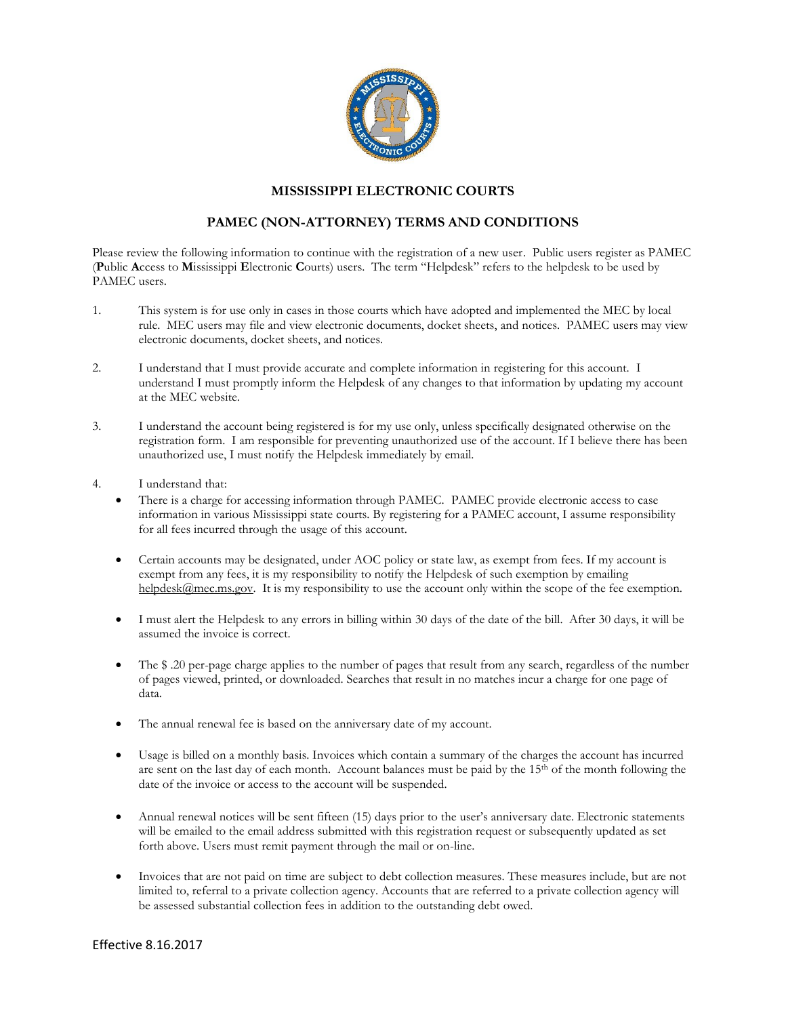

## **MISSISSIPPI ELECTRONIC COURTS**

## **PAMEC (NON-ATTORNEY) TERMS AND CONDITIONS**

Please review the following information to continue with the registration of a new user. Public users register as PAMEC (**P**ublic **A**ccess to **M**ississippi **E**lectronic **C**ourts) users. The term "Helpdesk" refers to the helpdesk to be used by PAMEC users.

- 1. This system is for use only in cases in those courts which have adopted and implemented the MEC by local rule. MEC users may file and view electronic documents, docket sheets, and notices. PAMEC users may view electronic documents, docket sheets, and notices.
- 2. I understand that I must provide accurate and complete information in registering for this account. I understand I must promptly inform the Helpdesk of any changes to that information by updating my account at the MEC website.
- 3. I understand the account being registered is for my use only, unless specifically designated otherwise on the registration form. I am responsible for preventing unauthorized use of the account. If I believe there has been unauthorized use, I must notify the Helpdesk immediately by email.
- 4. I understand that:
	- There is a charge for accessing information through PAMEC. PAMEC provide electronic access to case information in various Mississippi state courts. By registering for a PAMEC account, I assume responsibility for all fees incurred through the usage of this account.
	- Certain accounts may be designated, under AOC policy or state law, as exempt from fees. If my account is exempt from any fees, it is my responsibility to notify the Helpdesk of such exemption by emailing [helpdesk@mec.ms.gov.](mailto:helpdesk@mec.ms.gov) It is my responsibility to use the account only within the scope of the fee exemption.
	- I must alert the Helpdesk to any errors in billing within 30 days of the date of the bill. After 30 days, it will be assumed the invoice is correct.
	- The \$ .20 per-page charge applies to the number of pages that result from any search, regardless of the number of pages viewed, printed, or downloaded. Searches that result in no matches incur a charge for one page of data.
	- The annual renewal fee is based on the anniversary date of my account.
	- Usage is billed on a monthly basis. Invoices which contain a summary of the charges the account has incurred are sent on the last day of each month. Account balances must be paid by the  $15<sup>th</sup>$  of the month following the date of the invoice or access to the account will be suspended.
	- Annual renewal notices will be sent fifteen (15) days prior to the user's anniversary date. Electronic statements will be emailed to the email address submitted with this registration request or subsequently updated as set forth above. Users must remit payment through the mail or on-line.
	- Invoices that are not paid on time are subject to debt collection measures. These measures include, but are not limited to, referral to a private collection agency. Accounts that are referred to a private collection agency will be assessed substantial collection fees in addition to the outstanding debt owed.